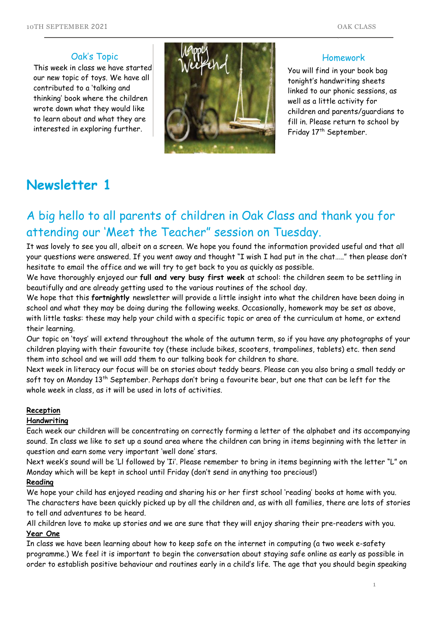#### Oak's Topic

This week in class we have started our new topic of toys. We have all contributed to a 'talking and thinking' book where the children wrote down what they would like to learn about and what they are interested in exploring further.



#### Homework

You will find in your book bag tonight's handwriting sheets linked to our phonic sessions, as well as a little activity for children and parents/guardians to fill in. Please return to school by Friday 17<sup>th</sup> September.

# **Newsletter 1**

# A big hello to all parents of children in Oak Class and thank you for attending our 'Meet the Teacher" session on Tuesday.

It was lovely to see you all, albeit on a screen. We hope you found the information provided useful and that all your questions were answered. If you went away and thought "I wish I had put in the chat….." then please don't hesitate to email the office and we will try to get back to you as quickly as possible.

We have thoroughly enjoyed our **full and very busy first week** at school: the children seem to be settling in 1 beautifully and are already getting used to the various routines of the school day.

We hope that this **fortnightly** newsletter will provide a little insight into what the children have been doing in 1p school and what they may be doing during the following weeks. Occasionally, homework may be set as above, with little tasks: these may help your child with a specific topic or area of the curriculum at home, or extend their learning. their learning.<br>Our topic on 'toys' will extend throughout the whole of the autumn term, so if you have any photographs of your

children playing with their favourite toy (these include bikes, scooters, trampolines, tablets) etc. then send<br>them into school and we will add them to our talking book for children to share. them into school and we will add them to our talking book for children to share.

Next week in literacy our focus will be on stories about teddy bears. Please can you also bring a small teddy or soft toy on Monday 13<sup>th</sup> September. Perhaps don't bring a favourite bear, but one that can be left for the whole week in class, as it will be used in lots of activities.

#### **Reception**

#### **Handwriting**

Each week our children will be concentrating on correctly forming a letter of the alphabet and its accompanying sound. In class we like to set up a sound area where the children can bring in items beginning with the letter in question and earn some very important 'well done' stars.

Next week's sound will be 'Ll followed by 'Ii'. Please remember to bring in items beginning with the letter "L" on Monday which will be kept in school until Friday (don't send in anything too precious!)

#### **Reading**

We hope your child has enjoyed reading and sharing his or her first school 'reading' books at home with you. The characters have been quickly picked up by all the children and, as with all families, there are lots of stories to tell and adventures to be heard.

All children love to make up stories and we are sure that they will enjoy sharing their pre-readers with you. **Year One**

In class we have been learning about how to keep safe on the internet in computing (a two week e-safety programme.) We feel it is important to begin the conversation about staying safe online as early as possible in order to establish positive behaviour and routines early in a child's life. The age that you should begin speaking